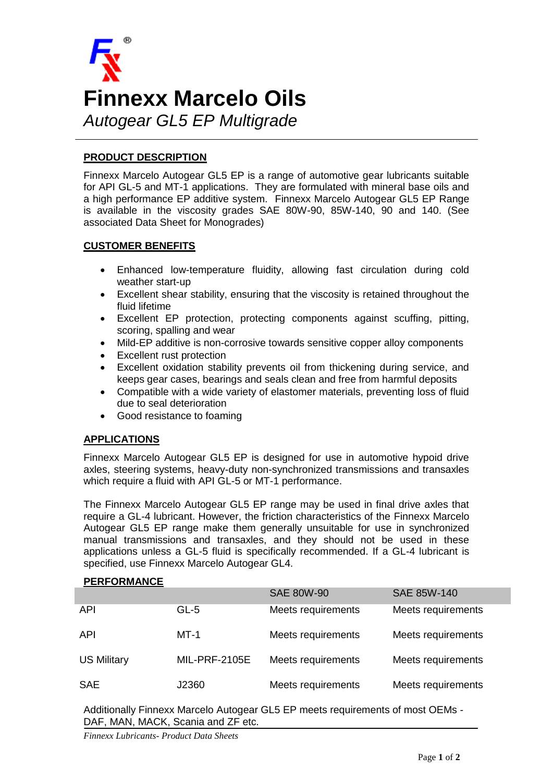

# **PRODUCT DESCRIPTION**

Finnexx Marcelo Autogear GL5 EP is a range of automotive gear lubricants suitable for API GL-5 and MT-1 applications. They are formulated with mineral base oils and a high performance EP additive system. Finnexx Marcelo Autogear GL5 EP Range is available in the viscosity grades SAE 80W-90, 85W-140, 90 and 140. (See associated Data Sheet for Monogrades)

### **CUSTOMER BENEFITS**

- Enhanced low-temperature fluidity, allowing fast circulation during cold weather start-up
- Excellent shear stability, ensuring that the viscosity is retained throughout the fluid lifetime
- Excellent EP protection, protecting components against scuffing, pitting, scoring, spalling and wear
- Mild-EP additive is non-corrosive towards sensitive copper alloy components
- Excellent rust protection
- Excellent oxidation stability prevents oil from thickening during service, and keeps gear cases, bearings and seals clean and free from harmful deposits
- Compatible with a wide variety of elastomer materials, preventing loss of fluid due to seal deterioration
- Good resistance to foaming

# **APPLICATIONS**

Finnexx Marcelo Autogear GL5 EP is designed for use in automotive hypoid drive axles, steering systems, heavy-duty non-synchronized transmissions and transaxles which require a fluid with API GL-5 or MT-1 performance.

The Finnexx Marcelo Autogear GL5 EP range may be used in final drive axles that require a GL-4 lubricant. However, the friction characteristics of the Finnexx Marcelo Autogear GL5 EP range make them generally unsuitable for use in synchronized manual transmissions and transaxles, and they should not be used in these applications unless a GL-5 fluid is specifically recommended. If a GL-4 lubricant is specified, use Finnexx Marcelo Autogear GL4.

### **PERFORMANCE**

|                    |                      | <b>SAE 80W-90</b>  | SAE 85W-140        |
|--------------------|----------------------|--------------------|--------------------|
| <b>API</b>         | $GL-5$               | Meets requirements | Meets requirements |
| API                | $MT-1$               | Meets requirements | Meets requirements |
| <b>US Military</b> | <b>MIL-PRF-2105E</b> | Meets requirements | Meets requirements |
| <b>SAE</b>         | J2360                | Meets requirements | Meets requirements |

Additionally Finnexx Marcelo Autogear GL5 EP meets requirements of most OEMs - DAF, MAN, MACK, Scania and ZF etc.